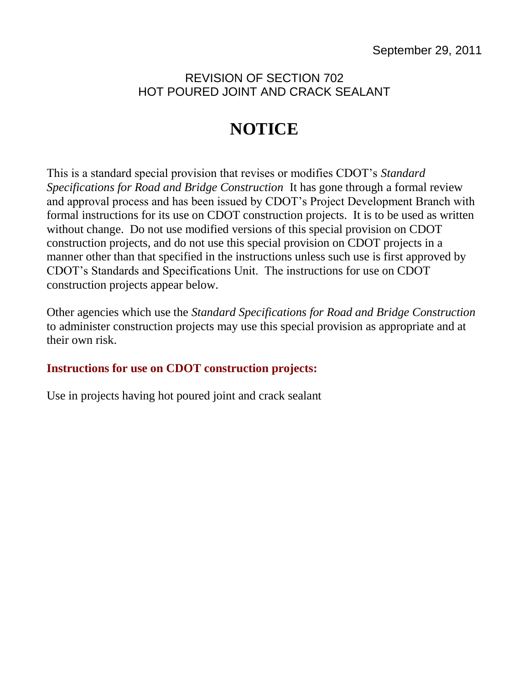## REVISION OF SECTION 702 HOT POURED JOINT AND CRACK SEALANT

## **NOTICE**

This is a standard special provision that revises or modifies CDOT's *Standard Specifications for Road and Bridge Construction* It has gone through a formal review and approval process and has been issued by CDOT's Project Development Branch with formal instructions for its use on CDOT construction projects. It is to be used as written without change. Do not use modified versions of this special provision on CDOT construction projects, and do not use this special provision on CDOT projects in a manner other than that specified in the instructions unless such use is first approved by CDOT's Standards and Specifications Unit. The instructions for use on CDOT construction projects appear below.

Other agencies which use the *Standard Specifications for Road and Bridge Construction* to administer construction projects may use this special provision as appropriate and at their own risk.

## **Instructions for use on CDOT construction projects:**

Use in projects having hot poured joint and crack sealant